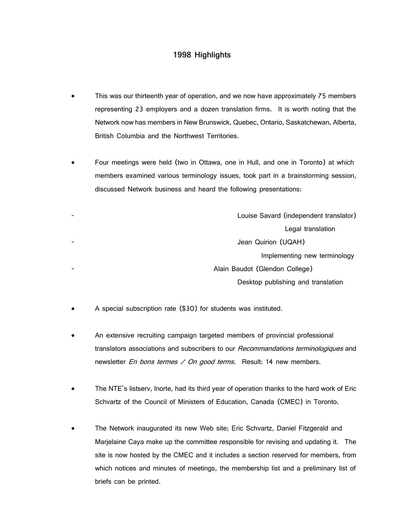## **1998 Highlights**

- This was our thirteenth year of operation, and we now have approximately 75 members representing 23 employers and a dozen translation firms. It is worth noting that the Network now has members in New Brunswick, Quebec, Ontario, Saskatchewan, Alberta, British Columbia and the Northwest Territories.
- Four meetings were held (two in Ottawa, one in Hull, and one in Toronto) at which members examined various terminology issues, took part in a brainstorming session, discussed Network business and heard the following presentations:

| - | Louise Savard (independent translator) |
|---|----------------------------------------|
|   | Legal translation                      |
| ۰ | Jean Quirion (UQAH)                    |
|   | Implementing new terminology           |
| ۰ | Alain Baudot (Glendon College)         |
|   | Desktop publishing and translation     |
|   |                                        |

- A special subscription rate (\$30) for students was instituted.
- An extensive recruiting campaign targeted members of provincial professional translators associations and subscribers to our Recommandations terminologiques and newsletter *En bons termes / On good terms*. Result: 14 new members.
- The NTE's listserv, lnorte, had its third year of operation thanks to the hard work of Eric Schvartz of the Council of Ministers of Education, Canada (CMEC) in Toronto.
- The Network inaugurated its new Web site; Eric Schvartz, Daniel Fitzgerald and Marjelaine Caya make up the committee responsible for revising and updating it. The site is now hosted by the CMEC and it includes a section reserved for members, from which notices and minutes of meetings, the membership list and a preliminary list of briefs can be printed.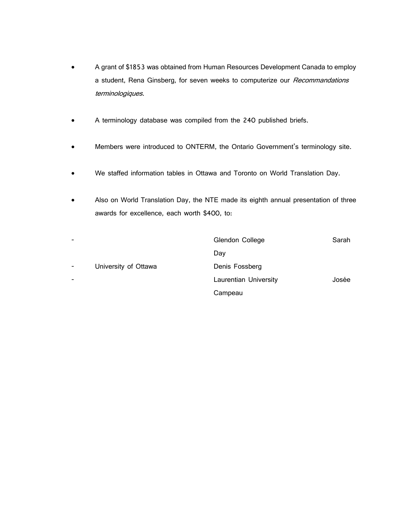- A grant of \$1853 was obtained from Human Resources Development Canada to employ a student, Rena Ginsberg, for seven weeks to computerize our Recommandations terminologiques.
- A terminology database was compiled from the 240 published briefs.
- Members were introduced to ONTERM, the Ontario Government's terminology site.
- We staffed information tables in Ottawa and Toronto on World Translation Day.
- Also on World Translation Day, the NTE made its eighth annual presentation of three awards for excellence, each worth \$400, to:

| $\overline{\phantom{0}}$ |                      | Glendon College       | Sarah |
|--------------------------|----------------------|-----------------------|-------|
|                          |                      | Day                   |       |
| $\overline{\phantom{a}}$ | University of Ottawa | Denis Fossberg        |       |
| $\overline{\phantom{0}}$ |                      | Laurentian University | Josée |
|                          |                      | Campeau               |       |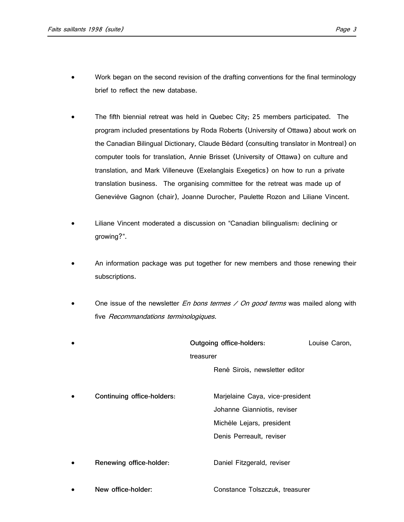- Work began on the second revision of the drafting conventions for the final terminology brief to reflect the new database.
- The fifth biennial retreat was held in Quebec City; 25 members participated. The program included presentations by Roda Roberts (University of Ottawa) about work on the Canadian Bilingual Dictionary, Claude Bédard (consulting translator in Montreal) on computer tools for translation, Annie Brisset (University of Ottawa) on culture and translation, and Mark Villeneuve (Exelanglais Exegetics) on how to run a private translation business. The organising committee for the retreat was made up of Geneviève Gagnon (chair), Joanne Durocher, Paulette Rozon and Liliane Vincent.
- Liliane Vincent moderated a discussion on "Canadian bilingualism: declining or growing?".
- An information package was put together for new members and those renewing their subscriptions.
- One issue of the newsletter  $En$  bons termes  $\angle$  On good terms was mailed along with five Recommandations terminologiques.

|                            |           | Outgoing office-holders:        | Louise Caron, |
|----------------------------|-----------|---------------------------------|---------------|
|                            | treasurer |                                 |               |
|                            |           | René Sirois, newsletter editor  |               |
|                            |           |                                 |               |
| Continuing office-holders: |           | Marjelaine Caya, vice-president |               |
|                            |           | Johanne Gianniotis, reviser     |               |
|                            |           | Michèle Lejars, president       |               |
|                            |           | Denis Perreault, reviser        |               |
|                            |           |                                 |               |
| Renewing office-holder:    |           | Daniel Fitzgerald, reviser      |               |
|                            |           |                                 |               |
| New office-holder:         |           | Constance Tolszczuk, treasurer  |               |